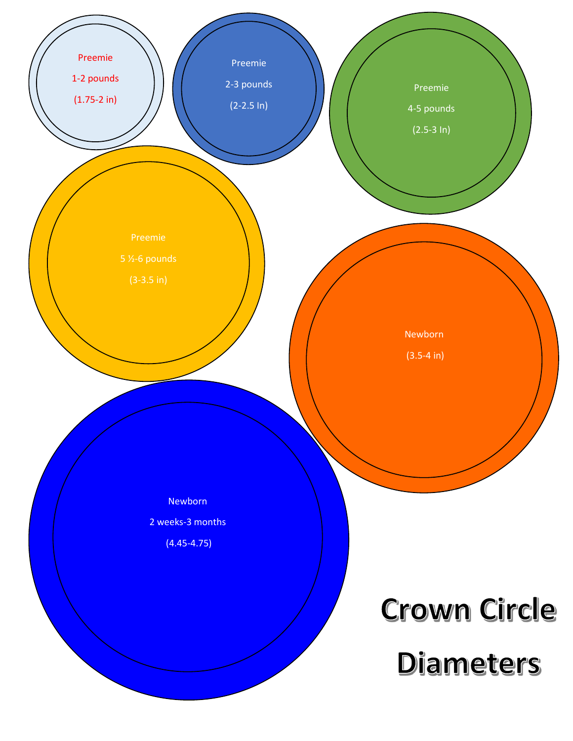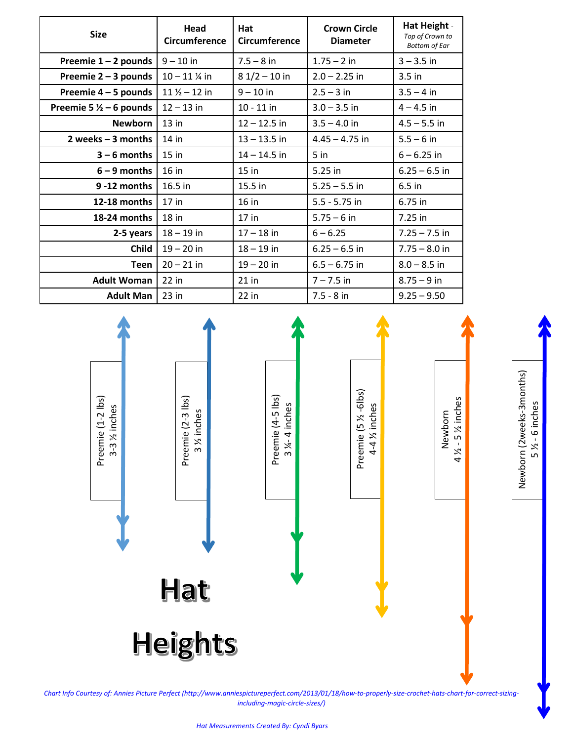| <b>Size</b>                        | Head<br><b>Circumference</b> | Hat<br>Circumference | <b>Crown Circle</b><br><b>Diameter</b> | Hat Height -<br>Top of Crown to<br><b>Bottom of Ear</b> |
|------------------------------------|------------------------------|----------------------|----------------------------------------|---------------------------------------------------------|
| Preemie $1 - 2$ pounds             | $9 - 10$ in                  | $7.5 - 8$ in         | $1.75 - 2$ in                          | $3 - 3.5$ in                                            |
| Preemie $2 - 3$ pounds             | $10 - 11$ % in               | $81/2 - 10$ in       | $2.0 - 2.25$ in                        | $3.5$ in                                                |
| Preemie 4 – 5 pounds               | $11\frac{1}{2} - 12$ in      | $9 - 10$ in          | $2.5 - 3$ in                           | $3.5 - 4$ in                                            |
| Preemie 5 $\frac{1}{2}$ – 6 pounds | $12 - 13$ in                 | $10 - 11$ in         | $3.0 - 3.5$ in                         | $4 - 4.5$ in                                            |
| <b>Newborn</b>                     | $13$ in                      | $12 - 12.5$ in       | $3.5 - 4.0$ in                         | $4.5 - 5.5$ in                                          |
| 2 weeks $-3$ months                | $14$ in                      | $13 - 13.5$ in       | $4.45 - 4.75$ in                       | $5.5 - 6$ in                                            |
| $3 - 6$ months                     | $15$ in                      | $14 - 14.5$ in       | 5 <sub>in</sub>                        | $6 - 6.25$ in                                           |
| $6 - 9$ months                     | $16$ in                      | $15$ in              | 5.25 in                                | $6.25 - 6.5$ in                                         |
| 9-12 months                        | 16.5 in                      | 15.5 in              | $5.25 - 5.5$ in                        | $6.5$ in                                                |
| 12-18 months                       | $17$ in                      | $16$ in              | $5.5 - 5.75$ in                        | 6.75 in                                                 |
| 18-24 months                       | $18$ in                      | $17$ in              | $5.75 - 6$ in                          | 7.25 in                                                 |
| 2-5 years                          | $18 - 19$ in                 | $17 - 18$ in         | $6 - 6.25$                             | $7.25 - 7.5$ in                                         |
| <b>Child</b>                       | $19 - 20$ in                 | $18 - 19$ in         | $6.25 - 6.5$ in                        | $7.75 - 8.0$ in                                         |
| <b>Teen</b>                        | $20 - 21$ in                 | $19 - 20$ in         | $6.5 - 6.75$ in                        | $8.0 - 8.5$ in                                          |
| <b>Adult Woman</b>                 | $22$ in                      | $21$ in              | $7 - 7.5$ in                           | $8.75 - 9$ in                                           |
| <b>Adult Man</b>                   | $23$ in                      | $22$ in              | $7.5 - 8$ in                           | $9.25 - 9.50$                                           |



*Chart Info Courtesy of: Annies Picture Perfect (http://www.anniespictureperfect.com/2013/01/18/how-to-properly-size-crochet-hats-chart-for-correct-sizingincluding-magic-circle-sizes/)*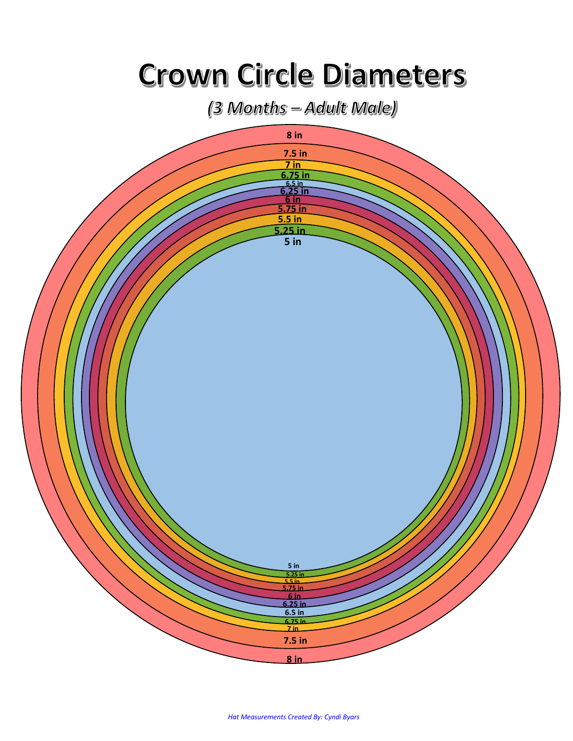## **Crown Circle Diameters**

(3 Months - Adult Male)



*Hat Measurements Created By: Cyndi Byars*